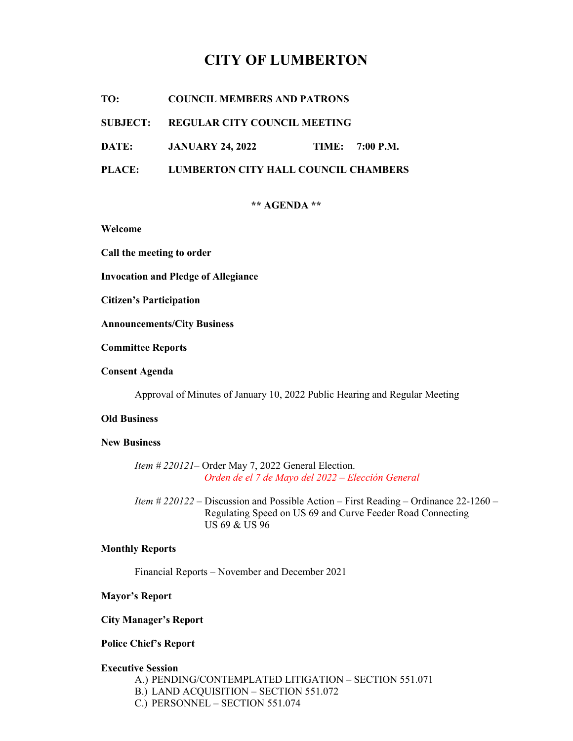# CITY OF LUMBERTON

TO: COUNCIL MEMBERS AND PATRONS

## SUBJECT: REGULAR CITY COUNCIL MEETING

DATE: JANUARY 24, 2022 TIME: 7:00 P.M.

PLACE: LUMBERTON CITY HALL COUNCIL CHAMBERS

### \*\* AGENDA \*\*

Welcome

Call the meeting to order

Invocation and Pledge of Allegiance

Citizen's Participation

Announcements/City Business

Committee Reports

Consent Agenda

Approval of Minutes of January 10, 2022 Public Hearing and Regular Meeting

## Old Business

## New Business

Item # 220121– Order May 7, 2022 General Election. Orden de el 7 de Mayo del 2022 – Elección General

 Item # 220122 – Discussion and Possible Action – First Reading – Ordinance 22-1260 – Regulating Speed on US 69 and Curve Feeder Road Connecting US 69 & US 96

#### Monthly Reports

Financial Reports – November and December 2021

## Mayor's Report

## City Manager's Report

# Police Chief's Report

#### Executive Session

- A.) PENDING/CONTEMPLATED LITIGATION SECTION 551.071
- B.) LAND ACQUISITION SECTION 551.072
- C.) PERSONNEL SECTION 551.074